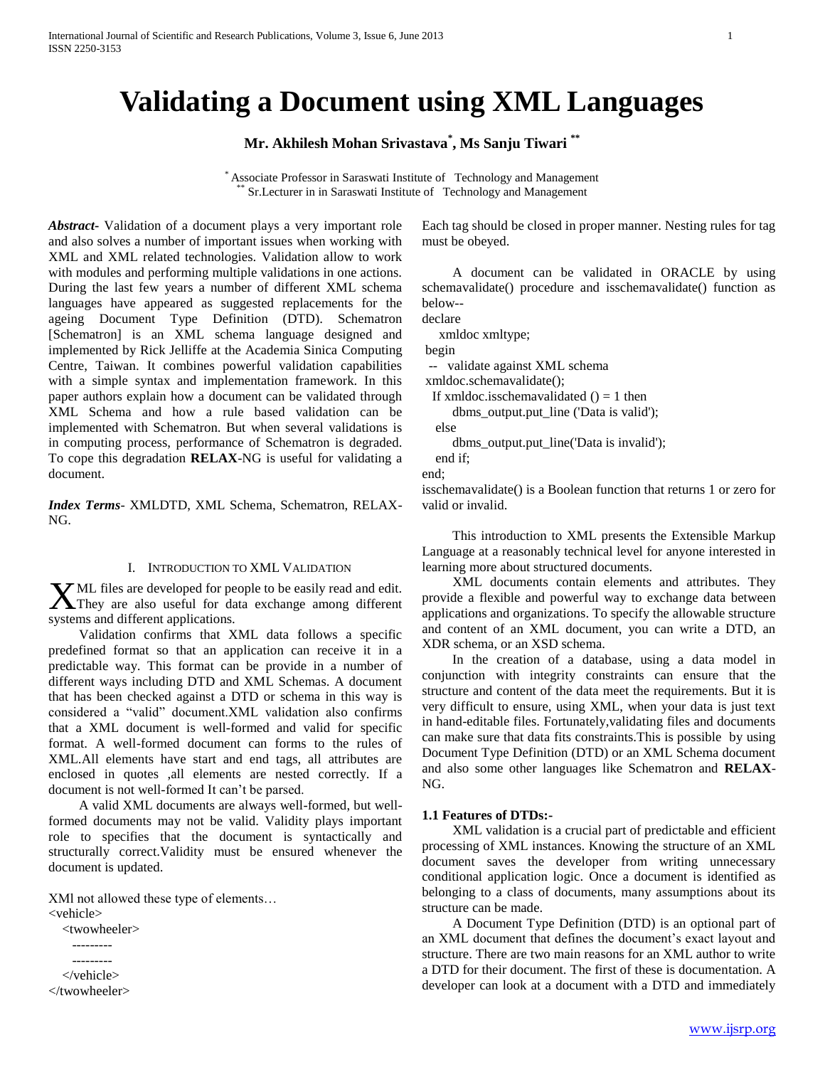# **Validating a Document using XML Languages**

**Mr. Akhilesh Mohan Srivastava\* , Ms Sanju Tiwari \*\***

\* Associate Professor in Saraswati Institute of Technology and Management Sr.Lecturer in in Saraswati Institute of Technology and Management

*Abstract***-** Validation of a document plays a very important role and also solves a number of important issues when working with XML and XML related technologies. Validation allow to work with modules and performing multiple validations in one actions. During the last few years a number of different XML schema languages have appeared as suggested replacements for the ageing Document Type Definition (DTD). Schematron [Schematron] is an XML schema language designed and implemented by Rick Jelliffe at the Academia Sinica Computing Centre, Taiwan. It combines powerful validation capabilities with a simple syntax and implementation framework. In this paper authors explain how a document can be validated through XML Schema and how a rule based validation can be implemented with Schematron. But when several validations is in computing process, performance of Schematron is degraded. To cope this degradation **RELAX**-NG is useful for validating a document.

*Index Terms*- XMLDTD, XML Schema, Schematron, RELAX-NG.

#### I. INTRODUCTION TO XML VALIDATION

ML files are developed for people to be easily read and edit.  $X<sup>ML</sup>$  files are developed for people to be easily read and edit.<br>They are also useful for data exchange among different systems and different applications.

 Validation confirms that XML data follows a specific predefined format so that an application can receive it in a predictable way. This format can be provide in a number of different ways including DTD and XML Schemas. A document that has been checked against a DTD or schema in this way is considered a "valid" document.XML validation also confirms that a XML document is well-formed and valid for specific format. A well-formed document can forms to the rules of XML.All elements have start and end tags, all attributes are enclosed in quotes ,all elements are nested correctly. If a document is not well-formed It can't be parsed.

 A valid XML documents are always well-formed, but wellformed documents may not be valid. Validity plays important role to specifies that the document is syntactically and structurally correct.Validity must be ensured whenever the document is updated.

XMl not allowed these type of elements…

<vehicle>

 <twowheeler> --------- --------- </vehicle>



</twowheeler>

Each tag should be closed in proper manner. Nesting rules for tag must be obeyed.

 A document can be validated in ORACLE by using schemavalidate() procedure and isschemavalidate() function as below--

declare

xmldoc xmltype;

begin

-- validate against XML schema

xmldoc.schemavalidate();

If xmldoc.isschemavalidated  $() = 1$  then

dbms\_output.put\_line ('Data is valid');

else

 dbms\_output.put\_line('Data is invalid'); end if;

end;

isschemavalidate() is a Boolean function that returns 1 or zero for valid or invalid.

 This introduction to XML presents the Extensible Markup Language at a reasonably technical level for anyone interested in learning more about structured documents.

 XML documents contain elements and attributes. They provide a flexible and powerful way to exchange data between applications and organizations. To specify the allowable structure and content of an XML document, you can write a DTD, an XDR schema, or an XSD schema.

 In the creation of a database, using a data model in conjunction with integrity constraints can ensure that the structure and content of the data meet the requirements. But it is very difficult to ensure, using XML, when your data is just text in hand-editable files. Fortunately,validating files and documents can make sure that data fits constraints.This is possible by using Document Type Definition (DTD) or an XML Schema document and also some other languages like Schematron and **RELAX**-NG.

#### **1.1 Features of DTDs:-**

 XML validation is a crucial part of predictable and efficient processing of XML instances. Knowing the structure of an XML document saves the developer from writing unnecessary conditional application logic. Once a document is identified as belonging to a class of documents, many assumptions about its structure can be made.

 A Document Type Definition (DTD) is an optional part of an XML document that defines the document's exact layout and structure. There are two main reasons for an XML author to write a DTD for their document. The first of these is documentation. A developer can look at a document with a DTD and immediately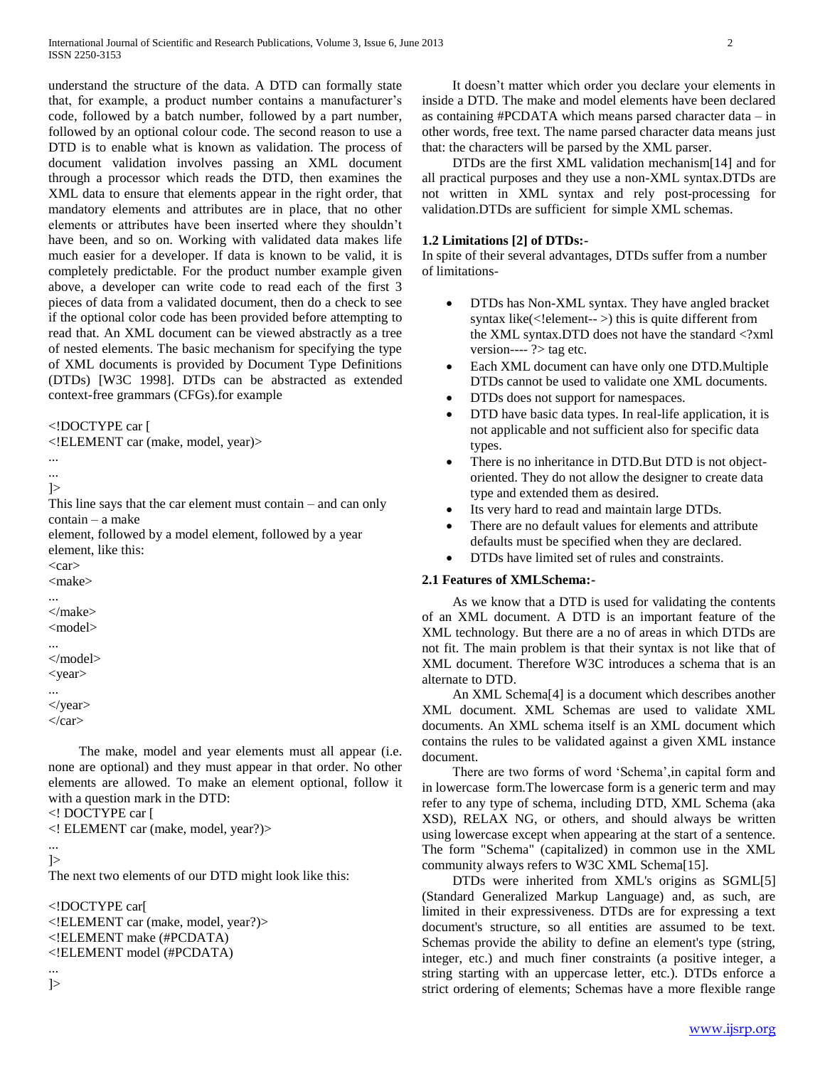understand the structure of the data. A DTD can formally state that, for example, a product number contains a manufacturer's code, followed by a batch number, followed by a part number, followed by an optional colour code. The second reason to use a DTD is to enable what is known as validation. The process of document validation involves passing an XML document through a processor which reads the DTD, then examines the XML data to ensure that elements appear in the right order, that mandatory elements and attributes are in place, that no other elements or attributes have been inserted where they shouldn't have been, and so on. Working with validated data makes life much easier for a developer. If data is known to be valid, it is completely predictable. For the product number example given above, a developer can write code to read each of the first 3 pieces of data from a validated document, then do a check to see if the optional color code has been provided before attempting to read that. An XML document can be viewed abstractly as a tree of nested elements. The basic mechanism for specifying the type of XML documents is provided by Document Type Definitions (DTDs) [W3C 1998]. DTDs can be abstracted as extended context-free grammars (CFGs).for example

## <!DOCTYPE car [

<!ELEMENT car (make, model, year)>

```
...
...
```

```
\geq
```
This line says that the car element must contain – and can only contain – a make

element, followed by a model element, followed by a year element, like this:

 $\langle \text{car} \rangle$ <make>

...

</make> <model>

... </model> <year>

... </year>

 $\langle \text{car} \rangle$ 

 The make, model and year elements must all appear (i.e. none are optional) and they must appear in that order. No other elements are allowed. To make an element optional, follow it with a question mark in the DTD:

<! DOCTYPE car [

<! ELEMENT car (make, model, year?)>

#### ...  $\geq$

The next two elements of our DTD might look like this:

<!DOCTYPE car[ <!ELEMENT car (make, model, year?)> <!ELEMENT make (#PCDATA) <!ELEMENT model (#PCDATA)

...  $\geq$ 

 It doesn't matter which order you declare your elements in inside a DTD. The make and model elements have been declared as containing #PCDATA which means parsed character data – in other words, free text. The name parsed character data means just that: the characters will be parsed by the XML parser.

 DTDs are the first XML validation mechanism[14] and for all practical purposes and they use a non-XML syntax.DTDs are not written in XML syntax and rely post-processing for validation.DTDs are sufficient for simple XML schemas.

## **1.2 Limitations [2] of DTDs:-**

In spite of their several advantages, DTDs suffer from a number of limitations-

- DTDs has Non-XML syntax. They have angled bracket syntax like $(\leq!$ element-- $\geq)$  this is quite different from the XML syntax.DTD does not have the standard <?xml version----  $\ge$  tag etc.
- Each XML document can have only one DTD.Multiple DTDs cannot be used to validate one XML documents.
- DTDs does not support for namespaces.
- DTD have basic data types. In real-life application, it is not applicable and not sufficient also for specific data types.
- There is no inheritance in DTD.But DTD is not objectoriented. They do not allow the designer to create data type and extended them as desired.
- Its very hard to read and maintain large DTDs.
- There are no default values for elements and attribute defaults must be specified when they are declared.
- DTDs have limited set of rules and constraints.

## **2.1 Features of XMLSchema:-**

 As we know that a DTD is used for validating the contents of an XML document. A DTD is an important feature of the XML technology. But there are a no of areas in which DTDs are not fit. The main problem is that their syntax is not like that of XML document. Therefore W3C introduces a schema that is an alternate to DTD.

 An XML Schema[4] is a document which describes another XML document. XML Schemas are used to validate XML documents. An XML schema itself is an XML document which contains the rules to be validated against a given XML instance document.

There are two forms of word 'Schema', in capital form and in lowercase form.The lowercase form is a generic term and may refer to any type of schema, including DTD, XML Schema (aka XSD), RELAX NG, or others, and should always be written using lowercase except when appearing at the start of a sentence. The form "Schema" (capitalized) in common use in the XML community always refers to W3C XML Schema[15].

 DTDs were inherited from XML's origins as SGML[5] (Standard Generalized Markup Language) and, as such, are limited in their expressiveness. DTDs are for expressing a text document's structure, so all entities are assumed to be text. Schemas provide the ability to define an element's type (string, integer, etc.) and much finer constraints (a positive integer, a string starting with an uppercase letter, etc.). DTDs enforce a strict ordering of elements; Schemas have a more flexible range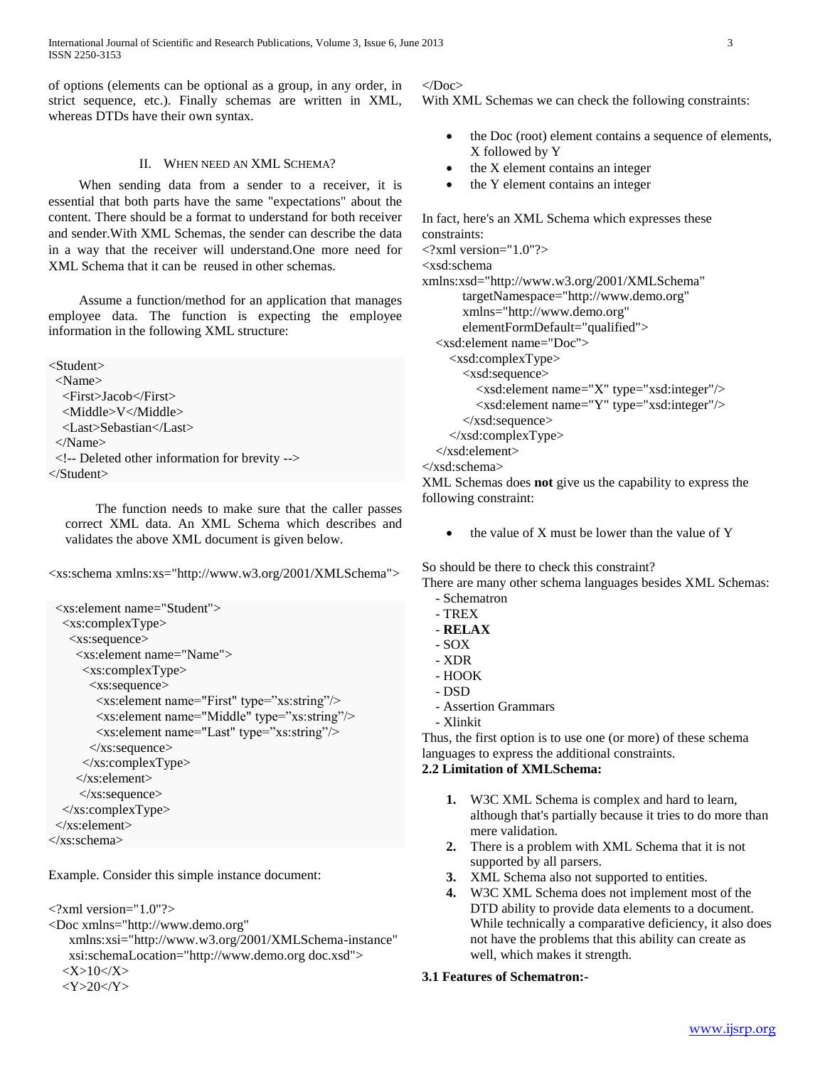of options (elements can be optional as a group, in any order, in strict sequence, etc.). Finally schemas are written in XML, whereas DTDs have their own syntax.

## II. WHEN NEED AN XML SCHEMA?

 When sending data from a sender to a receiver, it is essential that both parts have the same "expectations" about the content. There should be a format to understand for both receiver and sender.With XML Schemas, the sender can describe the data in a way that the receiver will understand.One more need for XML Schema that it can be reused in other schemas.

 Assume a function/method for an application that manages employee data. The function is expecting the employee information in the following XML structure:

<Student> <Name> <First>Jacob</First> <Middle>V</Middle> <Last>Sebastian</Last> </Name> <!-- Deleted other information for brevity --> </Student>

 The function needs to make sure that the caller passes correct XML data. An XML Schema which describes and validates the above XML document is given below.

<xs:schema xmlns:xs="http://www.w3.org/2001/XMLSchema">

```
<xs:element name="Student">
   <xs:complexType>
    <xs:sequence>
     <xs:element name="Name">
      <xs:complexType>
        <xs:sequence>
        <xs: element name="First" type="xs: string"/>
        <xs: element name="Middle" type="xs: string"/>
        <xs: element name="Last" type="xs: string"/>
        </xs:sequence>
      </xs:complexType>
     </xs:element>
      </xs:sequence>
   </xs:complexType>
 </xs:element>
</xs:schema>
```
Example. Consider this simple instance document:

<?xml version="1.0"?>

```
<Doc xmlns="http://www.demo.org"
```

```
 xmlns:xsi="http://www.w3.org/2001/XMLSchema-instance" 
  xsi:schemaLocation="http://www.demo.org doc.xsd">
<\!\!X\!\!>\!\!10<\!\!/X\!\!>
```
# $<\text{Y}>20<\text{Y}>$

## </Doc>

With XML Schemas we can check the following constraints:

- the Doc (root) element contains a sequence of elements, X followed by Y
- the X element contains an integer
- the Y element contains an integer

```
In fact, here's an XML Schema which expresses these 
constraints:
\langle?xml version="1.0"?>
<xsd:schema 
xmlns:xsd="http://www.w3.org/2001/XMLSchema"
        targetNamespace="http://www.demo.org"
        xmlns="http://www.demo.org"
        elementFormDefault="qualified">
   <xsd:element name="Doc">
     <xsd:complexType>
        <xsd:sequence>
          <xsd:element name="X" type="xsd:integer"/>
          <xsd:element name="Y" type="xsd:integer"/>
        </xsd:sequence>
     </xsd:complexType>
   </xsd:element>
</xsd:schema>
XML Schemas does not give us the capability to express the 
following constraint:
```
the value of X must be lower than the value of Y

So should be there to check this constraint? There are many other schema languages besides XML Schemas:

- Schematron
- TREX
- **RELAX**
- SOX
- XDR
- HOOK
- DSD
- Assertion Grammars - Xlinkit

Thus, the first option is to use one (or more) of these schema languages to express the additional constraints.

# **2.2 Limitation of XMLSchema:**

- **1.** W3C XML Schema is complex and hard to learn, although that's partially because it tries to do more than mere validation.
- **2.** There is a problem with XML Schema that it is not supported by all parsers.
- **3.** XML Schema also not supported to entities.
- **4.** W3C XML Schema does not implement most of the DTD ability to provide data elements to a document. While technically a comparative deficiency, it also does not have the problems that this ability can create as well, which makes it strength.

## **3.1 Features of Schematron:-**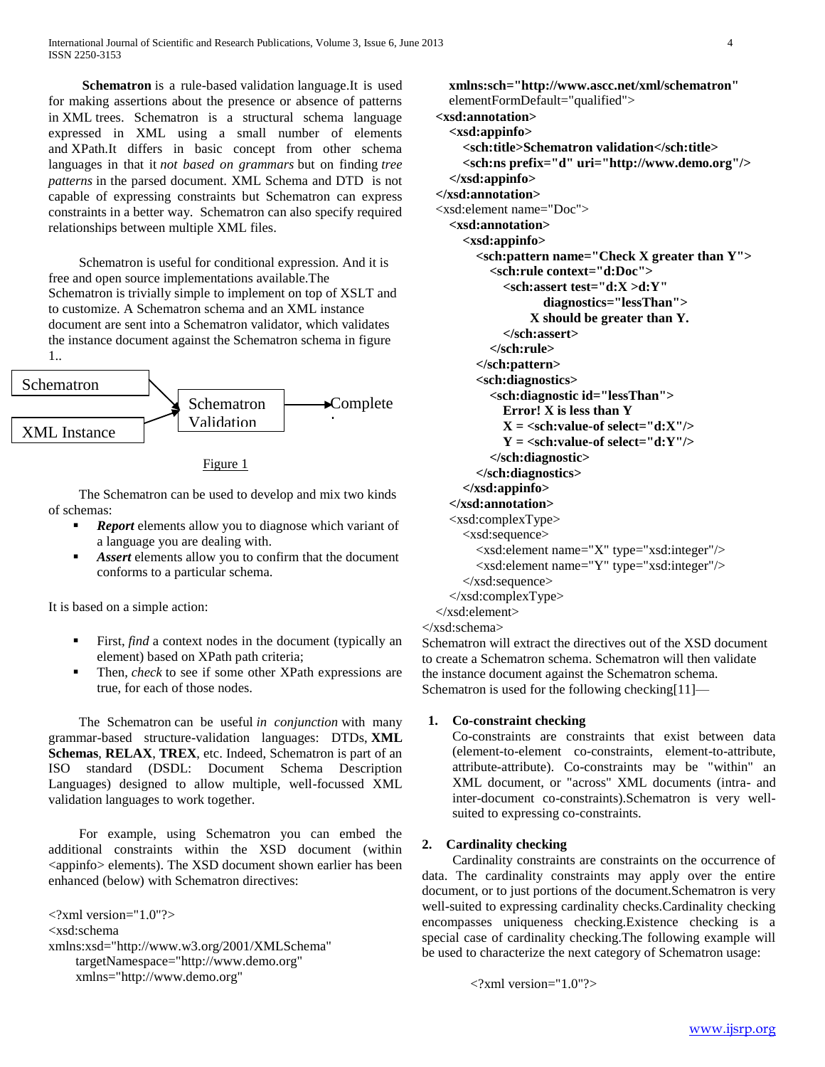**Schematron** is a rule-based validation language.It is used for making assertions about the presence or absence of patterns in XML trees. Schematron is a structural schema language expressed in XML using a small number of elements and XPath.It differs in basic concept from other schema languages in that it *not based on grammars* but on finding *tree patterns* in the parsed document. XML Schema and DTD is not capable of expressing constraints but Schematron can express constraints in a better way. Schematron can also specify required relationships between multiple XML files.

 Schematron is useful for conditional expression. And it is free and open source implementations available.The Schematron is trivially simple to implement on top of XSLT and to customize. A Schematron schema and an XML instance document are sent into a Schematron validator, which validates the instance document against the Schematron schema in figure 1..



#### Figure 1

 The Schematron can be used to develop and mix two kinds of schemas:

- **Report** elements allow you to diagnose which variant of a language you are dealing with.
- *Assert* elements allow you to confirm that the document conforms to a particular schema.

It is based on a simple action:

- First, *find* a context nodes in the document (typically an element) based on XPath path criteria;
- Then, *check* to see if some other XPath expressions are true, for each of those nodes.

 The Schematron can be useful *in conjunction* with many grammar-based structure-validation languages: DTDs, **XML Schemas**, **RELAX**, **TREX**, etc. Indeed, Schematron is part of an ISO standard (DSDL: Document Schema Description Languages) designed to allow multiple, well-focussed XML validation languages to work together.

 For example, using Schematron you can embed the additional constraints within the XSD document (within <appinfo> elements). The XSD document shown earlier has been enhanced (below) with Schematron directives:

 $\langle$ ?xml version="1.0"?> <xsd:schema xmlns:xsd="http://www.w3.org/2001/XMLSchema" targetNamespace="http://www.demo.org" xmlns="http://www.demo.org"

 **xmlns:sch="http://www.ascc.net/xml/schematron"** elementFormDefault="qualified"> **<xsd:annotation> <xsd:appinfo> <sch:title>Schematron validation</sch:title> <sch:ns prefix="d" uri="http://www.demo.org"/> </xsd:appinfo> </xsd:annotation>** <xsd:element name="Doc"> **<xsd:annotation> <xsd:appinfo> <sch:pattern name="Check X greater than Y"> <sch:rule context="d:Doc"> <sch:assert test="d:X >d:Y" diagnostics="lessThan"> X should be greater than Y. </sch:assert> </sch:rule> </sch:pattern> <sch:diagnostics> <sch:diagnostic id="lessThan"> Error! X is less than Y**  $X = \text{ssch:value-of} \, \text{select} = \text{d}: X \text{''} \text{/s}$  $Y = \text{ssch:value-of} \,\text{select} = \text{``d:Y''}\text{/>}$  **</sch:diagnostic> </sch:diagnostics> </xsd:appinfo> </xsd:annotation>** <xsd:complexType> <xsd:sequence> <xsd:element name="X" type="xsd:integer"/> <xsd:element name="Y" type="xsd:integer"/> </xsd:sequence> </xsd:complexType> </xsd:element> </xsd:schema>

Schematron will extract the directives out of the XSD document to create a Schematron schema. Schematron will then validate the instance document against the Schematron schema. Schematron is used for the following checking[11]—

## **1. Co-constraint checking**

Co-constraints are constraints that exist between data (element-to-element co-constraints, element-to-attribute, attribute-attribute). Co-constraints may be "within" an XML document, or "across" XML documents (intra- and inter-document co-constraints).Schematron is very wellsuited to expressing co-constraints.

## **2. Cardinality checking**

 Cardinality constraints are constraints on the occurrence of data. The cardinality constraints may apply over the entire document, or to just portions of the document.Schematron is very well-suited to expressing cardinality checks.Cardinality checking encompasses uniqueness checking.Existence checking is a special case of cardinality checking.The following example will be used to characterize the next category of Schematron usage:

```
\langle 2xml version="1.0"?>
```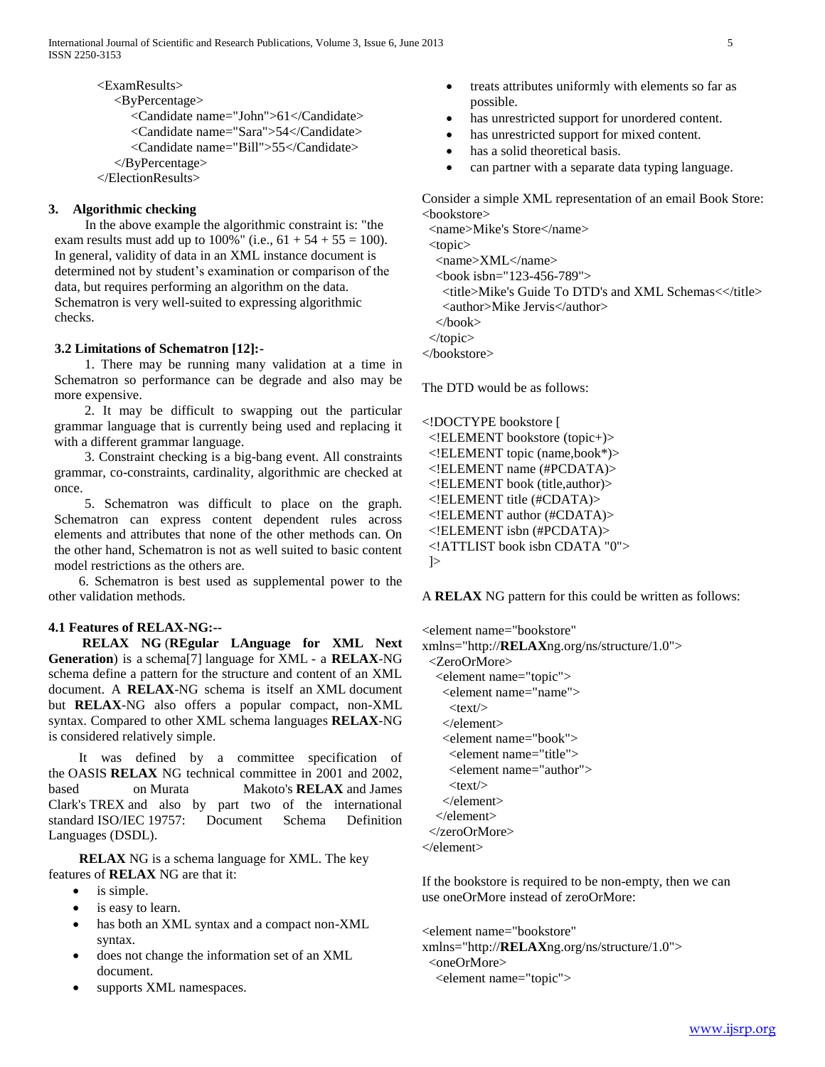<ExamResults> <ByPercentage> <Candidate name="John">61</Candidate> <Candidate name="Sara">54</Candidate> <Candidate name="Bill">55</Candidate> </ByPercentage> </ElectionResults>

## **3. Algorithmic checking**

 In the above example the algorithmic constraint is: "the exam results must add up to  $100\%$ " (i.e.,  $61 + 54 + 55 = 100$ ). In general, validity of data in an XML instance document is determined not by student's examination or comparison of the data, but requires performing an algorithm on the data. Schematron is very well-suited to expressing algorithmic checks.

## **3.2 Limitations of Schematron [12]:-**

 1. There may be running many validation at a time in Schematron so performance can be degrade and also may be more expensive.

 2. It may be difficult to swapping out the particular grammar language that is currently being used and replacing it with a different grammar language.

 3. Constraint checking is a big-bang event. All constraints grammar, co-constraints, cardinality, algorithmic are checked at once.

 5. Schematron was difficult to place on the graph. Schematron can express content dependent rules across elements and attributes that none of the other methods can. On the other hand, Schematron is not as well suited to basic content model restrictions as the others are.

 6. Schematron is best used as supplemental power to the other validation methods.

## **4.1 Features of RELAX-NG:--**

 **RELAX NG** (**REgular LAnguage for XML Next Generation**) is a schema[7] language for XML - a **RELAX**-NG schema define a pattern for the structure and content of an XML document. A **RELAX**-NG schema is itself an XML document but **RELAX**-NG also offers a popular compact, non-XML syntax. Compared to other XML schema languages **RELAX**-NG is considered relatively simple.

 It was defined by a committee specification of the OASIS **RELAX** NG technical committee in 2001 and 2002, based on Murata Makoto's **RELAX** and James Clark's TREX and also by part two of the international standard ISO/IEC 19757: Document Schema Definition Languages (DSDL).

 **RELAX** NG is a schema language for XML. The key features of **RELAX** NG are that it:

- is simple.
- is easy to learn.
- has both an XML syntax and a compact non-XML syntax.
- does not change the information set of an XML document.
- supports XML namespaces.
- treats attributes uniformly with elements so far as possible.
- has unrestricted support for unordered content.
- has unrestricted support for mixed content.
- has a solid theoretical basis.
- can partner with a separate data typing language.

Consider a simple XML representation of an email Book Store: <bookstore>

 <name>Mike's Store</name> <topic> <name>XML</name> <book isbn="123-456-789"> <title>Mike's Guide To DTD's and XML Schemas<</title> <author>Mike Jervis</author> </book> </topic> </bookstore>

The DTD would be as follows:

<!DOCTYPE bookstore [ <!ELEMENT bookstore (topic+)> <!ELEMENT topic (name,book\*)> <!ELEMENT name (#PCDATA)> <!ELEMENT book (title,author)> <!ELEMENT title (#CDATA)> <!ELEMENT author (#CDATA)> <!ELEMENT isbn (#PCDATA)> <!ATTLIST book isbn CDATA "0">

# ]>

A **RELAX** NG pattern for this could be written as follows:

<element name="bookstore"

xmlns="http://**RELAX**ng.org/ns/structure/1.0"> <ZeroOrMore> <element name="topic"> <element name="name">  $<$ text $/$  </element> <element name="book"> <element name="title"> <element name="author">  $<$ text $/$  </element>  $\epsilon$ /element $\epsilon$  </zeroOrMore> </element>

If the bookstore is required to be non-empty, then we can use oneOrMore instead of zeroOrMore:

<element name="bookstore"

xmlns="http://**RELAX**ng.org/ns/structure/1.0"> <oneOrMore>

```
 <element name="topic">
```